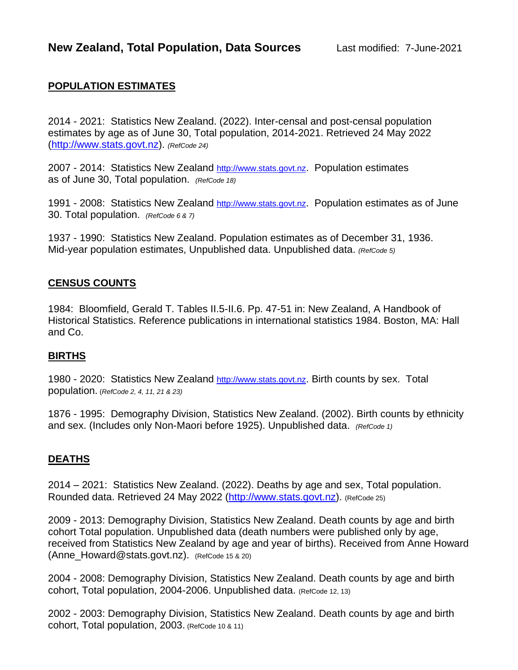## **POPULATION ESTIMATES**

2014 - 2021: Statistics New Zealand. (2022). Inter-censal and post-censal population estimates by age as of June 30, Total population, 2014-2021. Retrieved 24 May 2022 [\(http://www.stats.govt.nz\)](http://www.stats.govt.nz/). *(RefCode 24)*

2007 - 2014: Statistics New Zealand [http://www.stats.govt.nz](http://www.stats.govt.nz/). Population estimates as of June 30, Total population. *(RefCode 18)*

1991 - 2008: Statistics New Zealand [http://www.stats.govt.nz](http://www.stats.govt.nz/). Population estimates as of June 30. Total population. *(RefCode 6 & 7)*

1937 - 1990: Statistics New Zealand. Population estimates as of December 31, 1936. Mid-year population estimates, Unpublished data. Unpublished data. *(RefCode 5)*

### **CENSUS COUNTS**

1984: Bloomfield, Gerald T. Tables II.5-II.6. Pp. 47-51 in: New Zealand, A Handbook of Historical Statistics. Reference publications in international statistics 1984. Boston, MA: Hall and Co.

### **BIRTHS**

1980 - 2020: Statistics New Zealand [http://www.stats.govt.nz](http://www.stats.govt.nz/). Birth counts by sex. Total population. (*RefCode 2, 4, 11, 21 & 23)*

1876 - 1995: Demography Division, Statistics New Zealand. (2002). Birth counts by ethnicity and sex. (Includes only Non-Maori before 1925). Unpublished data. *(RefCode 1)*

### **DEATHS**

2014 – 2021: Statistics New Zealand. (2022). Deaths by age and sex, Total population. Rounded data. Retrieved 24 May 2022 [\(http://www.stats.govt.nz\)](http://www.stats.govt.nz/). (RefCode 25)

2009 - 2013: Demography Division, Statistics New Zealand. Death counts by age and birth cohort Total population. Unpublished data (death numbers were published only by age, received from Statistics New Zealand by age and year of births). Received from Anne Howard (Anne\_Howard@stats.govt.nz). (RefCode 15 & 20)

2004 - 2008: Demography Division, Statistics New Zealand. Death counts by age and birth cohort, Total population, 2004-2006. Unpublished data. (RefCode 12, 13)

2002 - 2003: Demography Division, Statistics New Zealand. Death counts by age and birth cohort, Total population, 2003. (RefCode 10 & 11)